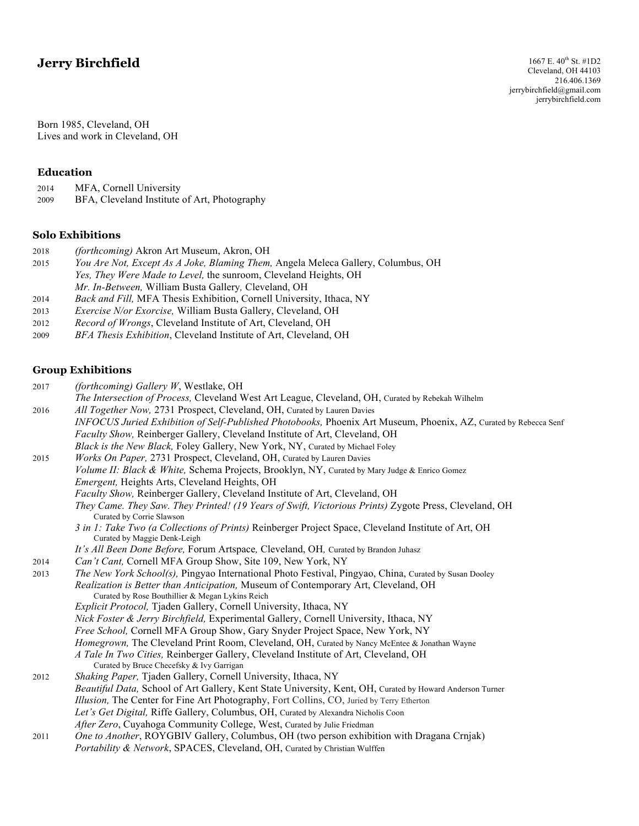# **Jerry Birchfield**

Born 1985, Cleveland, OH Lives and work in Cleveland, OH

#### **Education**

- 2014 MFA, Cornell University
- 2009 BFA, Cleveland Institute of Art, Photography

## **Solo Exhibitions**

| 2018 | <i>(forthcoming)</i> Akron Art Museum, Akron, OH                                 |
|------|----------------------------------------------------------------------------------|
| 2015 | You Are Not, Except As A Joke, Blaming Them, Angela Meleca Gallery, Columbus, OH |
|      | <i>Yes, They Were Made to Level, the sunroom, Cleveland Heights, OH</i>          |
|      | <i>Mr. In-Between,</i> William Busta Gallery, Cleveland, OH                      |
| 2014 | Back and Fill, MFA Thesis Exhibition, Cornell University, Ithaca, NY             |
| 2013 | <i>Frercise N/or Frorcise</i> William Rusta Gallery Cleveland OH                 |

- 2013 *Exercise N/or Exorcise,* William Busta Gallery, Cleveland, OH 2012 *Record of Wrongs*, Cleveland Institute of Art, Cleveland, OH
- 2009 *BFA Thesis Exhibition*, Cleveland Institute of Art, Cleveland, OH

## **Group Exhibitions**

| 2017 | (forthcoming) Gallery W, Westlake, OH                                                                                                  |
|------|----------------------------------------------------------------------------------------------------------------------------------------|
|      | The Intersection of Process, Cleveland West Art League, Cleveland, OH, Curated by Rebekah Wilhelm                                      |
| 2016 | All Together Now, 2731 Prospect, Cleveland, OH, Curated by Lauren Davies                                                               |
|      | INFOCUS Juried Exhibition of Self-Published Photobooks, Phoenix Art Museum, Phoenix, AZ, Curated by Rebecca Senf                       |
|      | Faculty Show, Reinberger Gallery, Cleveland Institute of Art, Cleveland, OH                                                            |
|      | Black is the New Black, Foley Gallery, New York, NY, Curated by Michael Foley                                                          |
| 2015 | Works On Paper, 2731 Prospect, Cleveland, OH, Curated by Lauren Davies                                                                 |
|      | Volume II: Black & White, Schema Projects, Brooklyn, NY, Curated by Mary Judge & Enrico Gomez                                          |
|      | <i>Emergent</i> , Heights Arts, Cleveland Heights, OH                                                                                  |
|      | Faculty Show, Reinberger Gallery, Cleveland Institute of Art, Cleveland, OH                                                            |
|      | They Came. They Saw. They Printed! (19 Years of Swift, Victorious Prints) Zygote Press, Cleveland, OH<br>Curated by Corrie Slawson     |
|      | 3 in 1: Take Two (a Collections of Prints) Reinberger Project Space, Cleveland Institute of Art, OH                                    |
|      | Curated by Maggie Denk-Leigh                                                                                                           |
|      | It's All Been Done Before, Forum Artspace, Cleveland, OH, Curated by Brandon Juhasz                                                    |
| 2014 | Can't Cant, Cornell MFA Group Show, Site 109, New York, NY                                                                             |
| 2013 | The New York School(s), Pingyao International Photo Festival, Pingyao, China, Curated by Susan Dooley                                  |
|      | Realization is Better than Anticipation, Museum of Contemporary Art, Cleveland, OH<br>Curated by Rose Bouthillier & Megan Lykins Reich |
|      | <i>Explicit Protocol</i> , Tjaden Gallery, Cornell University, Ithaca, NY                                                              |
|      | Nick Foster & Jerry Birchfield, Experimental Gallery, Cornell University, Ithaca, NY                                                   |
|      | Free School, Cornell MFA Group Show, Gary Snyder Project Space, New York, NY                                                           |
|      | Homegrown, The Cleveland Print Room, Cleveland, OH, Curated by Nancy McEntee & Jonathan Wayne                                          |
|      | A Tale In Two Cities, Reinberger Gallery, Cleveland Institute of Art, Cleveland, OH                                                    |
|      | Curated by Bruce Checefsky & Ivy Garrigan                                                                                              |
| 2012 | Shaking Paper, Tjaden Gallery, Cornell University, Ithaca, NY                                                                          |
|      | Beautiful Data, School of Art Gallery, Kent State University, Kent, OH, Curated by Howard Anderson Turner                              |
|      | Illusion, The Center for Fine Art Photography, Fort Collins, CO, Juried by Terry Etherton                                              |
|      | Let's Get Digital, Riffe Gallery, Columbus, OH, Curated by Alexandra Nicholis Coon                                                     |
|      | After Zero, Cuyahoga Community College, West, Curated by Julie Friedman                                                                |
| 2011 | One to Another, ROYGBIV Gallery, Columbus, OH (two person exhibition with Dragana Crnjak)                                              |
|      | Portability & Network, SPACES, Cleveland, OH, Curated by Christian Wulffen                                                             |
|      |                                                                                                                                        |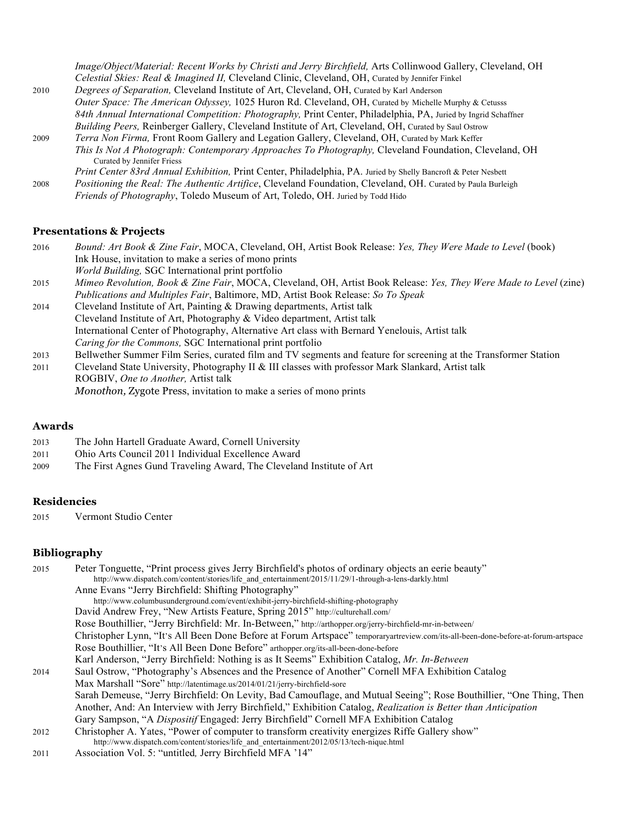|      | Image/Object/Material: Recent Works by Christi and Jerry Birchfield, Arts Collinwood Gallery, Cleveland, OH    |
|------|----------------------------------------------------------------------------------------------------------------|
|      | Celestial Skies: Real & Imagined II, Cleveland Clinic, Cleveland, OH, Curated by Jennifer Finkel               |
| 2010 | Degrees of Separation, Cleveland Institute of Art, Cleveland, OH, Curated by Karl Anderson                     |
|      | Outer Space: The American Odyssey, 1025 Huron Rd. Cleveland, OH, Curated by Michelle Murphy & Cetusss          |
|      | 84th Annual International Competition: Photography, Print Center, Philadelphia, PA, Juried by Ingrid Schaffner |
|      | Building Peers, Reinberger Gallery, Cleveland Institute of Art, Cleveland, OH, Curated by Saul Ostrow          |
| 2009 | Terra Non Firma, Front Room Gallery and Legation Gallery, Cleveland, OH, Curated by Mark Keffer                |
|      | This Is Not A Photograph: Contemporary Approaches To Photography, Cleveland Foundation, Cleveland, OH          |
|      | Curated by Jennifer Friess                                                                                     |
|      | Print Center 83rd Annual Exhibition, Print Center, Philadelphia, PA. Juried by Shelly Bancroft & Peter Nesbett |
| 2008 | Positioning the Real: The Authentic Artifice, Cleveland Foundation, Cleveland, OH. Curated by Paula Burleigh   |
|      | <i>Friends of Photography</i> , Toledo Museum of Art, Toledo, OH. Juried by Todd Hido                          |

## **Presentations & Projects**

| 2016 | Bound: Art Book & Zine Fair, MOCA, Cleveland, OH, Artist Book Release: Yes, They Were Made to Level (book)        |
|------|-------------------------------------------------------------------------------------------------------------------|
|      | Ink House, invitation to make a series of mono prints                                                             |
|      | World Building, SGC International print portfolio                                                                 |
| 2015 | Mimeo Revolution, Book & Zine Fair, MOCA, Cleveland, OH, Artist Book Release: Yes, They Were Made to Level (zine) |
|      | Publications and Multiples Fair, Baltimore, MD, Artist Book Release: So To Speak                                  |
| 2014 | Cleveland Institute of Art, Painting & Drawing departments, Artist talk                                           |
|      | Cleveland Institute of Art, Photography & Video department, Artist talk                                           |
|      | International Center of Photography, Alternative Art class with Bernard Yenelouis, Artist talk                    |
|      | Caring for the Commons, SGC International print portfolio                                                         |
| 2013 | Bellwether Summer Film Series, curated film and TV segments and feature for screening at the Transformer Station  |
| 2011 | Cleveland State University, Photography II & III classes with professor Mark Slankard, Artist talk                |
|      | ROGBIV, One to Another, Artist talk                                                                               |
|      |                                                                                                                   |

### *Monothon,* Zygote Press, invitation to make a series of mono prints

## **Awards**

| 2013 |  | The John Hartell Graduate Award, Cornell University |  |  |  |  |  |  |  |
|------|--|-----------------------------------------------------|--|--|--|--|--|--|--|
|      |  |                                                     |  |  |  |  |  |  |  |

- 2011 Ohio Arts Council 2011 Individual Excellence Award
- 2009 The First Agnes Gund Traveling Award, The Cleveland Institute of Art

## **Residencies**

2015 Vermont Studio Center

## **Bibliography**

| 2015 | Peter Tonguette, "Print process gives Jerry Birchfield's photos of ordinary objects an eerie beauty"                              |
|------|-----------------------------------------------------------------------------------------------------------------------------------|
|      | http://www.dispatch.com/content/stories/life_and_entertainment/2015/11/29/1-through-a-lens-darkly.html                            |
|      | Anne Evans "Jerry Birchfield: Shifting Photography"                                                                               |
|      | http://www.columbusunderground.com/event/exhibit-jerry-birchfield-shifting-photography                                            |
|      | David Andrew Frey, "New Artists Feature, Spring 2015" http://culturehall.com/                                                     |
|      | Rose Bouthillier, "Jerry Birchfield: Mr. In-Between," http://arthopper.org/jerry-birchfield-mr-in-between/                        |
|      | Christopher Lynn, "It's All Been Done Before at Forum Artspace" temporaryartreview.com/its-all-been-done-before-at-forum-artspace |
|      | Rose Bouthillier, "It's All Been Done Before" arthopper.org/its-all-been-done-before                                              |
|      | Karl Anderson, "Jerry Birchfield: Nothing is as It Seems" Exhibition Catalog, Mr. In-Between                                      |
| 2014 | Saul Ostrow, "Photography's Absences and the Presence of Another" Cornell MFA Exhibition Catalog                                  |
|      | Max Marshall "Sore" http://latentimage.us/2014/01/21/jerry-birchfield-sore                                                        |
|      | Sarah Demeuse, "Jerry Birchfield: On Levity, Bad Camouflage, and Mutual Seeing"; Rose Bouthillier, "One Thing, Then               |
|      | Another, And: An Interview with Jerry Birchfield," Exhibition Catalog, Realization is Better than Anticipation                    |
|      | Gary Sampson, "A Dispositif Engaged: Jerry Birchfield" Cornell MFA Exhibition Catalog                                             |
| 2012 | Christopher A. Yates, "Power of computer to transform creativity energizes Riffe Gallery show"                                    |
|      | http://www.dispatch.com/content/stories/life_and_entertainment/2012/05/13/tech-nique.html                                         |
| 2011 | Association Vol. 5: "untitled, Jerry Birchfield MFA '14"                                                                          |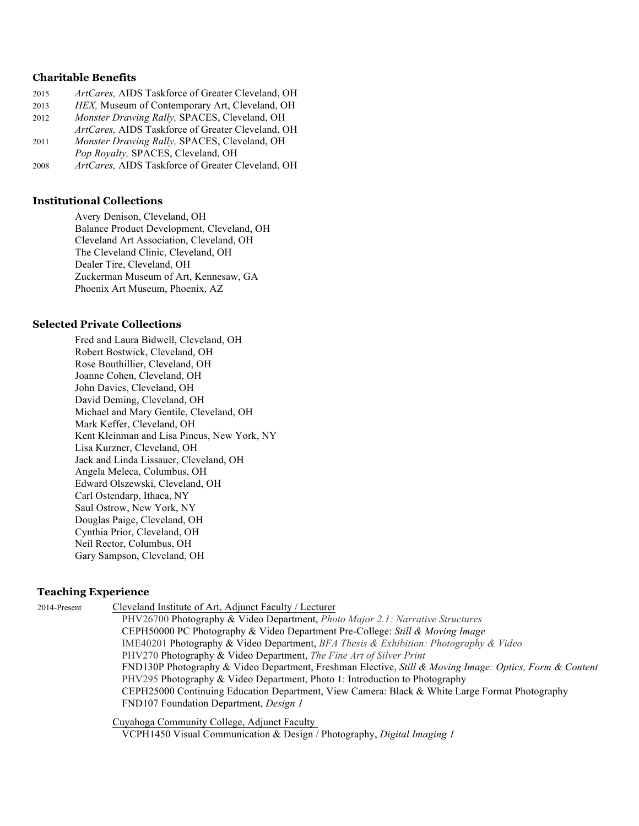#### **Charitable Benefits**

| 2015 | ArtCares, AIDS Taskforce of Greater Cleveland, OH |
|------|---------------------------------------------------|
| 2013 | HEX, Museum of Contemporary Art, Cleveland, OH    |
| 2012 | Monster Drawing Rally, SPACES, Cleveland, OH      |
|      | ArtCares, AIDS Taskforce of Greater Cleveland, OH |
| 2011 | Monster Drawing Rally, SPACES, Cleveland, OH      |
|      | Pop Royalty, SPACES, Cleveland, OH                |
| 2008 | ArtCares, AIDS Taskforce of Greater Cleveland, OH |

#### **Institutional Collections**

Avery Denison, Cleveland, OH Balance Product Development, Cleveland, OH Cleveland Art Association, Cleveland, OH The Cleveland Clinic, Cleveland, OH Dealer Tire, Cleveland, OH Zuckerman Museum of Art, Kennesaw, GA Phoenix Art Museum, Phoenix, AZ

#### **Selected Private Collections**

Fred and Laura Bidwell, Cleveland, OH Robert Bostwick, Cleveland, OH Rose Bouthillier, Cleveland, OH Joanne Cohen, Cleveland, OH John Davies, Cleveland, OH David Deming, Cleveland, OH Michael and Mary Gentile, Cleveland, OH Mark Keffer, Cleveland, OH Kent Kleinman and Lisa Pincus, New York, NY Lisa Kurzner, Cleveland, OH Jack and Linda Lissauer, Cleveland, OH Angela Meleca, Columbus, OH Edward Olszewski, Cleveland, OH Carl Ostendarp, Ithaca, NY Saul Ostrow, New York, NY Douglas Paige, Cleveland, OH Cynthia Prior, Cleveland, OH Neil Rector, Columbus, OH Gary Sampson, Cleveland, OH

#### **Teaching Experience**

2014-Present Cleveland Institute of Art, Adjunct Faculty / Lecturer PHV26700 Photography & Video Department, *Photo Major 2.1: Narrative Structures* CEPH50000 PC Photography & Video Department Pre-College: *Still & Moving Image* IME40201 Photography & Video Department, *BFA Thesis & Exhibition: Photography & Video* PHV270 Photography & Video Department, *The Fine Art of Silver Print* FND130P Photography & Video Department, Freshman Elective, *Still & Moving Image: Optics, Form & Content* PHV295 Photography & Video Department, Photo 1: Introduction to Photography CEPH25000 Continuing Education Department, View Camera: Black & White Large Format Photography FND107 Foundation Department, *Design 1*

> Cuyahoga Community College, Adjunct Faculty VCPH1450 Visual Communication & Design / Photography, *Digital Imaging 1*